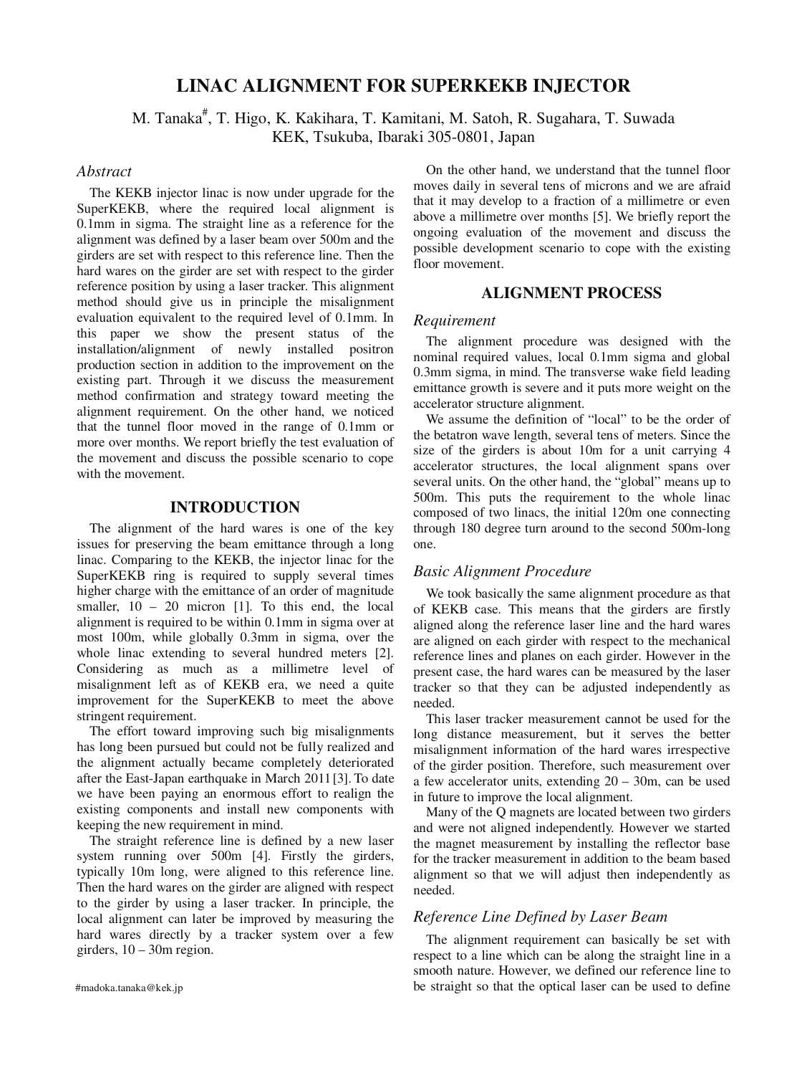# **LINAC ALIGNMENT FOR SUPERKEKB INJECTOR**

M. Tanaka<sup>#</sup>, T. Higo, K. Kakihara, T. Kamitani, M. Satoh, R. Sugahara, T. Suwada KEK, Tsukuba, Ibaraki 305-0801, Japan

## *Abstract*

The KEKB injector linac is now under upgrade for the SuperKEKB, where the required local alignment is 0.1mm in sigma. The straight line as a reference for the alignment was defined by a laser beam over 500m and the girders are set with respect to this reference line. Then the hard wares on the girder are set with respect to the girder reference position by using a laser tracker. This alignment method should give us in principle the misalignment evaluation equivalent to the required level of 0.1mm. In this paper we show the present status of the installation/alignment of newly installed positron production section in addition to the improvement on the existing part. Through it we discuss the measurement method confirmation and strategy toward meeting the alignment requirement. On the other hand, we noticed that the tunnel floor moved in the range of 0.1mm or more over months. We report briefly the test evaluation of the movement and discuss the possible scenario to cope with the movement.

# **INTRODUCTION**

The alignment of the hard wares is one of the key issues for preserving the beam emittance through a long linac. Comparing to the KEKB, the injector linac for the SuperKEKB ring is required to supply several times higher charge with the emittance of an order of magnitude smaller,  $10 - 20$  micron [1]. To this end, the local alignment is required to be within 0.1mm in sigma over at most 100m, while globally 0.3mm in sigma, over the whole linac extending to several hundred meters [2]. Considering as much as a millimetre level of misalignment left as of KEKB era, we need a quite improvement for the SuperKEKB to meet the above stringent requirement.

The effort toward improving such big misalignments has long been pursued but could not be fully realized and the alignment actually became completely deteriorated after the East-Japan earthquake in March 2011 [3]. To date we have been paying an enormous effort to realign the existing components and install new components with keeping the new requirement in mind.

The straight reference line is defined by a new laser system running over 500m [4]. Firstly the girders, typically 10m long, were aligned to this reference line. Then the hard wares on the girder are aligned with respect to the girder by using a laser tracker. In principle, the local alignment can later be improved by measuring the hard wares directly by a tracker system over a few girders,  $10 - 30$ m region.

On the other hand, we understand that the tunnel floor moves daily in several tens of microns and we are afraid that it may develop to a fraction of a millimetre or even above a millimetre over months [5]. We briefly report the ongoing evaluation of the movement and discuss the possible development scenario to cope with the existing floor movement.

# **ALIGNMENT PROCESS**

## *Requirement*

The alignment procedure was designed with the nominal required values, local 0.1mm sigma and global 0.3mm sigma, in mind. The transverse wake field leading emittance growth is severe and it puts more weight on the accelerator structure alignment.

We assume the definition of "local" to be the order of the betatron wave length, several tens of meters. Since the size of the girders is about 10m for a unit carrying 4 accelerator structures, the local alignment spans over several units. On the other hand, the "global" means up to 500m. This puts the requirement to the whole linac composed of two linacs, the initial 120m one connecting through 180 degree turn around to the second 500m-long one.

### *Basic Alignment Procedure*

We took basically the same alignment procedure as that of KEKB case. This means that the girders are firstly aligned along the reference laser line and the hard wares are aligned on each girder with respect to the mechanical reference lines and planes on each girder. However in the present case, the hard wares can be measured by the laser tracker so that they can be adjusted independently as needed.

This laser tracker measurement cannot be used for the long distance measurement, but it serves the better misalignment information of the hard wares irrespective of the girder position. Therefore, such measurement over a few accelerator units, extending 20 – 30m, can be used in future to improve the local alignment.

Many of the Q magnets are located between two girders and were not aligned independently. However we started the magnet measurement by installing the reflector base for the tracker measurement in addition to the beam based alignment so that we will adjust then independently as needed.

### *Reference Line Defined by Laser Beam*

The alignment requirement can basically be set with respect to a line which can be along the straight line in a smooth nature. However, we defined our reference line to #madoka.tanaka@kek.jp be straight so that the optical laser can be used to define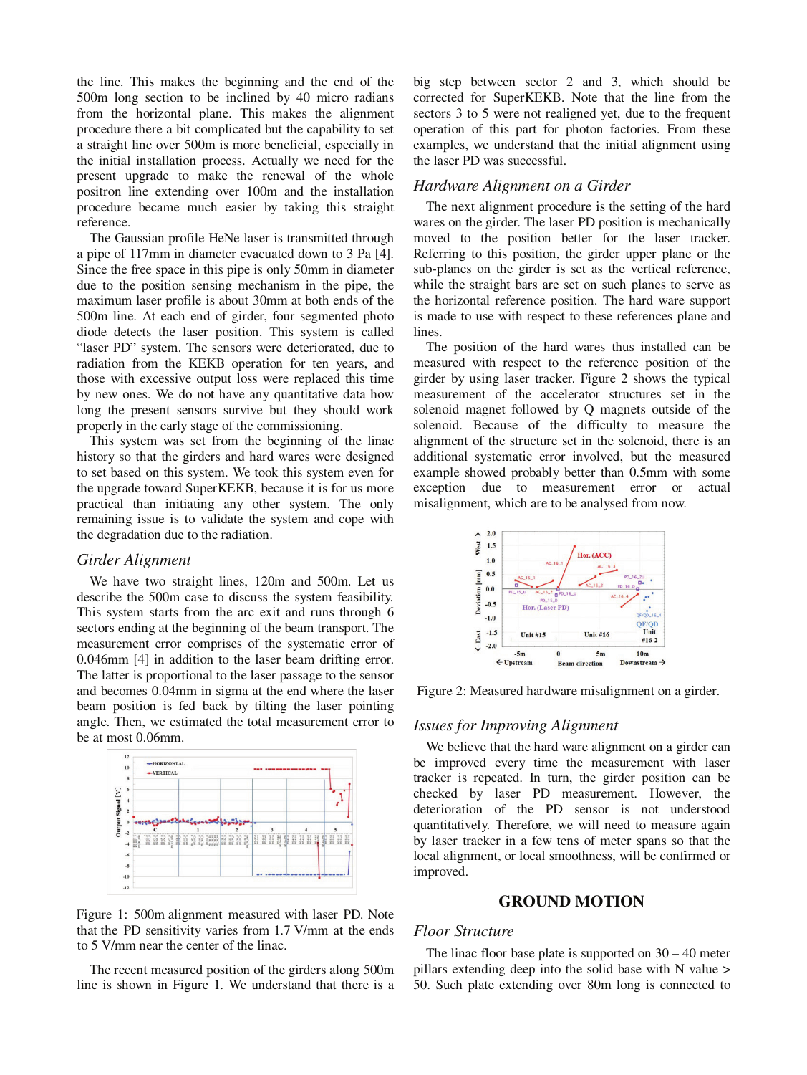the line. This makes the beginning and the end of the 500m long section to be inclined by 40 micro radians from the horizontal plane. This makes the alignment procedure there a bit complicated but the capability to set a straight line over 500m is more beneficial, especially in the initial installation process. Actually we need for the present upgrade to make the renewal of the whole positron line extending over 100m and the installation procedure became much easier by taking this straight reference.

The Gaussian profile HeNe laser is transmitted through a pipe of 117mm in diameter evacuated down to 3 Pa [4]. Since the free space in this pipe is only 50mm in diameter due to the position sensing mechanism in the pipe, the maximum laser profile is about 30mm at both ends of the 500m line. At each end of girder, four segmented photo diode detects the laser position. This system is called "laser PD" system. The sensors were deteriorated, due to radiation from the KEKB operation for ten years, and those with excessive output loss were replaced this time by new ones. We do not have any quantitative data how long the present sensors survive but they should work properly in the early stage of the commissioning.

This system was set from the beginning of the linac history so that the girders and hard wares were designed to set based on this system. We took this system even for the upgrade toward SuperKEKB, because it is for us more practical than initiating any other system. The only remaining issue is to validate the system and cope with the degradation due to the radiation.

## *Girder Alignment*

We have two straight lines, 120m and 500m. Let us describe the 500m case to discuss the system feasibility. This system starts from the arc exit and runs through 6 sectors ending at the beginning of the beam transport. The measurement error comprises of the systematic error of 0.046mm [4] in addition to the laser beam drifting error. The latter is proportional to the laser passage to the sensor and becomes 0.04mm in sigma at the end where the laser beam position is fed back by tilting the laser pointing angle. Then, we estimated the total measurement error to be at most 0.06mm.



Figure 1: 500m alignment measured with laser PD. Note that the PD sensitivity varies from 1.7 V/mm at the ends to 5 V/mm near the center of the linac.

The recent measured position of the girders along 500m line is shown in Figure 1. We understand that there is a

big step between sector 2 and 3, which should be corrected for SuperKEKB. Note that the line from the sectors 3 to 5 were not realigned yet, due to the frequent operation of this part for photon factories. From these examples, we understand that the initial alignment using the laser PD was successful.

## *Hardware Alignment on a Girder*

The next alignment procedure is the setting of the hard wares on the girder. The laser PD position is mechanically moved to the position better for the laser tracker. Referring to this position, the girder upper plane or the sub-planes on the girder is set as the vertical reference, while the straight bars are set on such planes to serve as the horizontal reference position. The hard ware support is made to use with respect to these references plane and lines.

The position of the hard wares thus installed can be measured with respect to the reference position of the girder by using laser tracker. Figure 2 shows the typical measurement of the accelerator structures set in the solenoid magnet followed by Q magnets outside of the solenoid. Because of the difficulty to measure the alignment of the structure set in the solenoid, there is an additional systematic error involved, but the measured example showed probably better than 0.5mm with some exception due to measurement error or actual misalignment, which are to be analysed from now.



Figure 2: Measured hardware misalignment on a girder.

### *Issues for Improving Alignment*

We believe that the hard ware alignment on a girder can be improved every time the measurement with laser tracker is repeated. In turn, the girder position can be checked by laser PD measurement. However, the deterioration of the PD sensor is not understood quantitatively. Therefore, we will need to measure again by laser tracker in a few tens of meter spans so that the local alignment, or local smoothness, will be confirmed or improved.

#### **GROUND MOTION**

#### *Floor Structure*

The linac floor base plate is supported on  $30 - 40$  meter pillars extending deep into the solid base with N value > 50. Such plate extending over 80m long is connected to